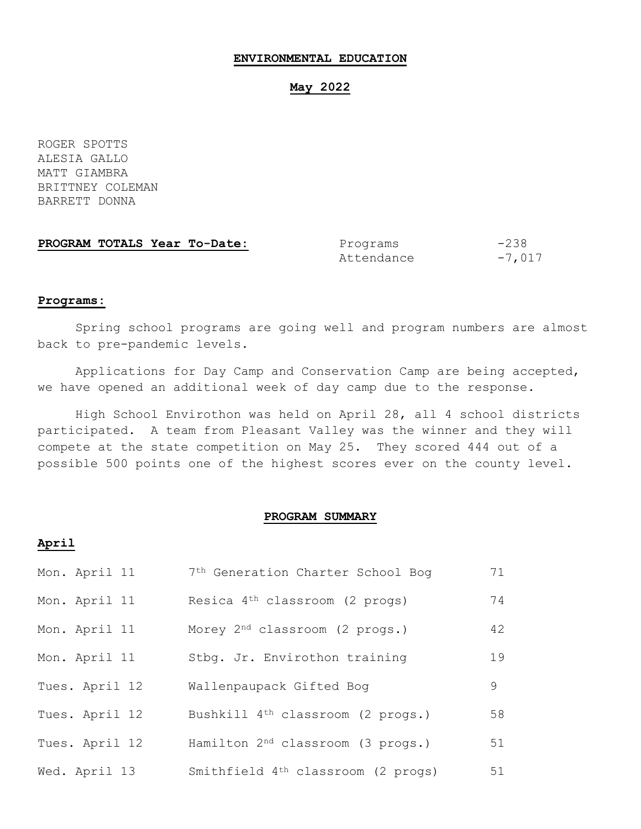### **ENVIRONMENTAL EDUCATION**

### **May 2022**

ROGER SPOTTS ALESIA GALLO MATT GIAMBRA BRITTNEY COLEMAN BARRETT DONNA

| PROGRAM TOTALS Year To-Date: | Programs   | $-238$   |
|------------------------------|------------|----------|
|                              | Attendance | $-7,017$ |

#### **Programs:**

Spring school programs are going well and program numbers are almost back to pre-pandemic levels.

Applications for Day Camp and Conservation Camp are being accepted, we have opened an additional week of day camp due to the response.

High School Envirothon was held on April 28, all 4 school districts participated. A team from Pleasant Valley was the winner and they will compete at the state competition on May 25. They scored 444 out of a possible 500 points one of the highest scores ever on the county level.

## **PROGRAM SUMMARY**

## **April**

| Mon. April 11  | 7 <sup>th</sup> Generation Charter School Bog  | 71 |
|----------------|------------------------------------------------|----|
| Mon. April 11  | Resica 4 <sup>th</sup> classroom (2 progs)     | 74 |
| Mon. April 11  | Morey 2 <sup>nd</sup> classroom (2 progs.)     | 42 |
| Mon. April 11  | Stbg. Jr. Envirothon training                  | 19 |
| Tues. April 12 | Wallenpaupack Gifted Bog                       | 9  |
| Tues. April 12 | Bushkill 4 <sup>th</sup> classroom (2 progs.)  | 58 |
| Tues. April 12 | Hamilton 2 <sup>nd</sup> classroom (3 progs.)  | 51 |
| Wed. April 13  | Smithfield 4 <sup>th</sup> classroom (2 progs) | 51 |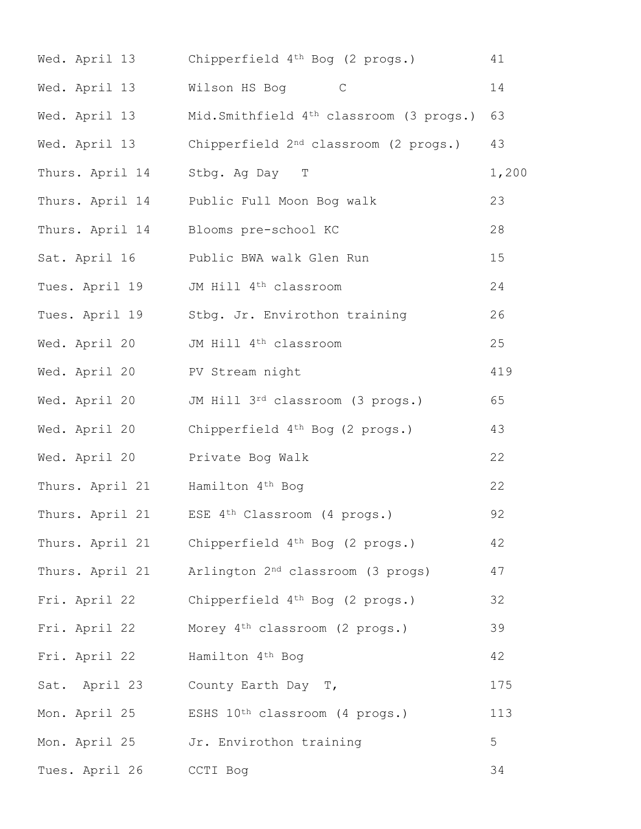| Wed. April 13   | Chipperfield 4 <sup>th</sup> Bog (2 progs.)            | 41    |
|-----------------|--------------------------------------------------------|-------|
| Wed. April 13   | Wilson HS Bog C                                        | 14    |
| Wed. April 13   | Mid.Smithfield 4 <sup>th</sup> classroom (3 progs.) 63 |       |
| Wed. April 13   | Chipperfield 2 <sup>nd</sup> classroom (2 progs.)      | 43    |
| Thurs. April 14 | Stbg. Ag Day T                                         | 1,200 |
| Thurs. April 14 | Public Full Moon Bog walk                              | 23    |
| Thurs. April 14 | Blooms pre-school KC                                   | 28    |
| Sat. April 16   | Public BWA walk Glen Run                               | 15    |
| Tues. April 19  | JM Hill 4 <sup>th</sup> classroom                      | 24    |
| Tues. April 19  | Stbg. Jr. Envirothon training                          | 26    |
| Wed. April 20   | JM Hill 4 <sup>th</sup> classroom                      | 25    |
| Wed. April 20   | PV Stream night                                        | 419   |
| Wed. April 20   | JM Hill 3rd classroom (3 progs.)                       | 65    |
| Wed. April 20   | Chipperfield 4 <sup>th</sup> Bog (2 progs.)            | 43    |
| Wed. April 20   | Private Bog Walk                                       | 22    |
| Thurs. April 21 | Hamilton 4 <sup>th</sup> Bog                           | 22    |
| Thurs. April 21 | ESE 4 <sup>th</sup> Classroom (4 progs.)               | 92    |
| Thurs. April 21 | Chipperfield 4 <sup>th</sup> Bog (2 progs.)            | 42    |
| Thurs. April 21 | Arlington 2 <sup>nd</sup> classroom (3 progs)          | 47    |
| Fri. April 22   | Chipperfield 4 <sup>th</sup> Bog (2 progs.)            | 32    |
| Fri. April 22   | Morey 4 <sup>th</sup> classroom (2 progs.)             | 39    |
| Fri. April 22   | Hamilton 4 <sup>th</sup> Bog                           | 42    |
|                 | Sat. April 23 County Earth Day T,                      | 175   |
| Mon. April 25   | ESHS 10 <sup>th</sup> classroom (4 progs.)             | 113   |
| Mon. April 25   | Jr. Envirothon training                                | 5     |
| Tues. April 26  | CCTI Bog                                               | 34    |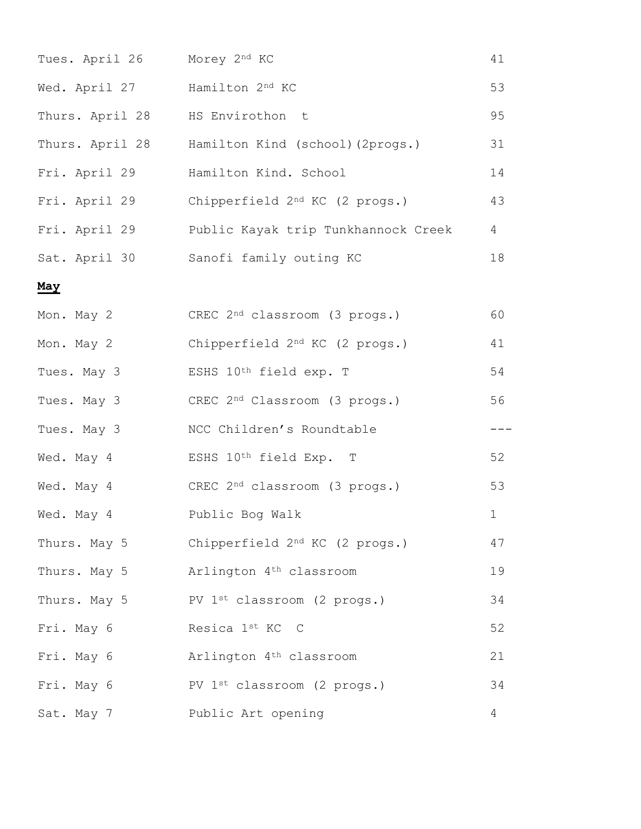| Tues. April 26  | Morey 2nd KC                                     | 41          |
|-----------------|--------------------------------------------------|-------------|
| Wed. April 27   | Hamilton 2nd KC                                  | 53          |
| Thurs. April 28 | HS Envirothon t                                  | 95          |
|                 | Thurs. April 28 Hamilton Kind (school) (2progs.) | 31          |
| Fri. April 29   | Hamilton Kind. School                            | 14          |
| Fri. April 29   | Chipperfield 2 <sup>nd</sup> KC (2 progs.)       | 43          |
| Fri. April 29   | Public Kayak trip Tunkhannock Creek              | 4           |
|                 | Sat. April 30 Sanofi family outing KC            | 18          |
| May             |                                                  |             |
| Mon. May 2      | CREC 2 <sup>nd</sup> classroom (3 progs.)        | 60          |
| Mon. May 2      | Chipperfield 2 <sup>nd</sup> KC (2 progs.)       | 41          |
| Tues. May 3     | ESHS 10th field exp. T                           | 54          |
| Tues. May 3     | CREC 2 <sup>nd</sup> Classroom (3 progs.)        | 56          |
| Tues. May 3     | NCC Children's Roundtable                        | ---         |
| Wed. May 4      | ESHS 10th field Exp. T                           | 52          |
| Wed. May 4      | CREC 2 <sup>nd</sup> classroom (3 progs.)        | 53          |
| Wed. May 4      | Public Bog Walk                                  | $\mathbf 1$ |
| Thurs. May 5    | Chipperfield 2 <sup>nd</sup> KC (2 progs.)       | 47          |
| Thurs. May 5    | Arlington 4 <sup>th</sup> classroom              | 19          |
| Thurs. May 5    | PV 1 <sup>st</sup> classroom (2 progs.)          | 34          |
| Fri. May 6      | Resica 1st KC C                                  | 52          |
| Fri. May 6      | Arlington 4 <sup>th</sup> classroom              | 21          |
| Fri. May 6      | PV 1st classroom (2 progs.)                      | 34          |
| Sat. May 7      | Public Art opening                               | 4           |